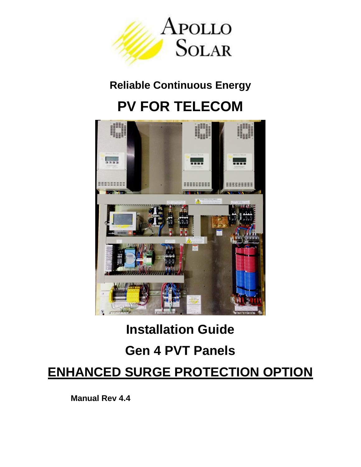

## **Reliable Continuous Energy PV FOR TELECOM**



# **Installation Guide Gen 4 PVT Panels ENHANCED SURGE PROTECTION OPTION**

**Manual Rev 4.4**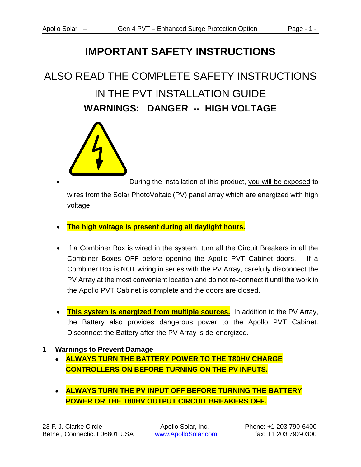### **IMPORTANT SAFETY INSTRUCTIONS**

### ALSO READ THE COMPLETE SAFETY INSTRUCTIONS IN THE PVT INSTALLATION GUIDE **WARNINGS: DANGER -- HIGH VOLTAGE**



 During the installation of this product, you will be exposed to wires from the Solar PhotoVoltaic (PV) panel array which are energized with high voltage.

- **The high voltage is present during all daylight hours.**
- If a Combiner Box is wired in the system, turn all the Circuit Breakers in all the Combiner Boxes OFF before opening the Apollo PVT Cabinet doors. If a Combiner Box is NOT wiring in series with the PV Array, carefully disconnect the PV Array at the most convenient location and do not re-connect it until the work in the Apollo PVT Cabinet is complete and the doors are closed.
- **This system is energized from multiple sources.** In addition to the PV Array, the Battery also provides dangerous power to the Apollo PVT Cabinet. Disconnect the Battery after the PV Array is de-energized.
- **1 Warnings to Prevent Damage**
	- **ALWAYS TURN THE BATTERY POWER TO THE T80HV CHARGE CONTROLLERS ON BEFORE TURNING ON THE PV INPUTS.**
	- **ALWAYS TURN THE PV INPUT OFF BEFORE TURNING THE BATTERY POWER OR THE T80HV OUTPUT CIRCUIT BREAKERS OFF.**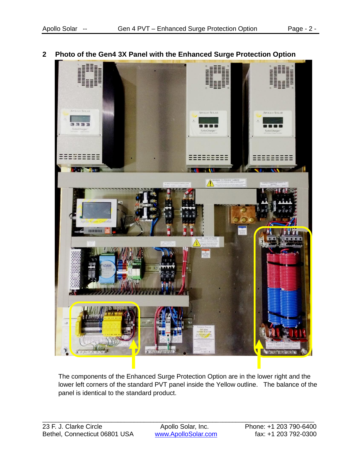

**2 Photo of the Gen4 3X Panel with the Enhanced Surge Protection Option**

The components of the Enhanced Surge Protection Option are in the lower right and the lower left corners of the standard PVT panel inside the Yellow outline. The balance of the panel is identical to the standard product.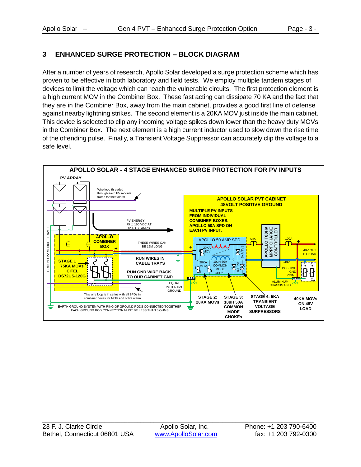#### **3 ENHANCED SURGE PROTECTION – BLOCK DIAGRAM**

After a number of years of research, Apollo Solar developed a surge protection scheme which has proven to be effective in both laboratory and field tests. We employ multiple tandem stages of devices to limit the voltage which can reach the vulnerable circuits. The first protection element is a high current MOV in the Combiner Box. These fast acting can dissipate 70 KA and the fact that they are in the Combiner Box, away from the main cabinet, provides a good first line of defense against nearby lightning strikes. The second element is a 20KA MOV just inside the main cabinet. This device is selected to clip any incoming voltage spikes down lower than the heavy duty MOVs in the Combiner Box. The next element is a high current inductor used to slow down the rise time of the offending pulse. Finally, a Transient Voltage Suppressor can accurately clip the voltage to a safe level.

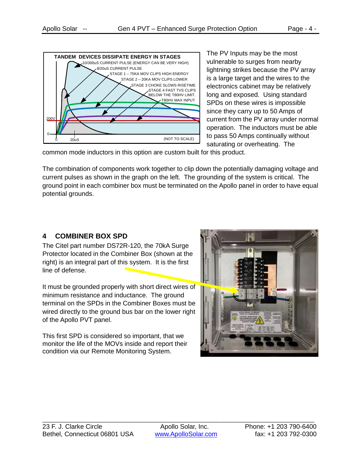

The PV Inputs may be the most vulnerable to surges from nearby lightning strikes because the PV array is a large target and the wires to the electronics cabinet may be relatively long and exposed. Using standard SPDs on these wires is impossible since they carry up to 50 Amps of current from the PV array under normal operation. The inductors must be able to pass 50 Amps continually without saturating or overheating. The

common mode inductors in this option are custom built for this product.

The combination of components work together to clip down the potentially damaging voltage and current pulses as shown in the graph on the left. The grounding of the system is critical. The ground point in each combiner box must be terminated on the Apollo panel in order to have equal potential grounds.

#### **4 COMBINER BOX SPD**

The Citel part number DS72R-120, the 70kA Surge Protector located in the Combiner Box (shown at the right) is an integral part of this system. It is the first line of defense.

It must be grounded properly with short direct wires of minimum resistance and inductance. The ground terminal on the SPDs in the Combiner Boxes must be wired directly to the ground bus bar on the lower right of the Apollo PVT panel.

This first SPD is considered so important, that we monitor the life of the MOVs inside and report their condition via our Remote Monitoring System.



\_\_\_\_\_\_\_\_\_\_\_\_\_\_\_\_\_\_\_\_\_\_\_\_\_\_\_\_\_\_\_\_\_\_\_\_\_\_\_\_\_\_\_\_\_\_\_\_\_\_\_\_\_\_\_\_\_\_\_\_\_\_\_\_\_\_\_\_\_\_\_\_\_\_\_\_\_\_\_\_\_\_\_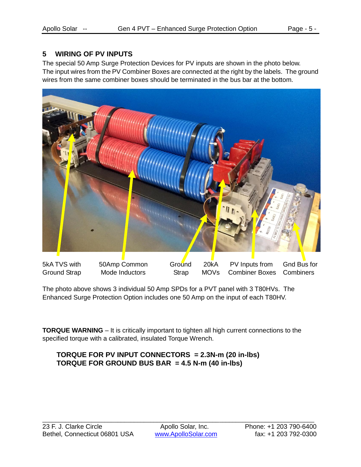#### **5 WIRING OF PV INPUTS**

The special 50 Amp Surge Protection Devices for PV inputs are shown in the photo below. The input wires from the PV Combiner Boxes are connected at the right by the labels. The ground wires from the same combiner boxes should be terminated in the bus bar at the bottom.



5kA TVS with 50Amp Common Ground 20kA PV Inputs from Gnd Bus for Ground Strap Mode Inductors Strap MOVs Combiner Boxes Combiners

The photo above shows 3 individual 50 Amp SPDs for a PVT panel with 3 T80HVs. The Enhanced Surge Protection Option includes one 50 Amp on the input of each T80HV.

**TORQUE WARNING** – It is critically important to tighten all high current connections to the specified torque with a calibrated, insulated Torque Wrench.

#### **TORQUE FOR PV INPUT CONNECTORS = 2.3N-m (20 in-lbs) TORQUE FOR GROUND BUS BAR = 4.5 N-m (40 in-lbs)**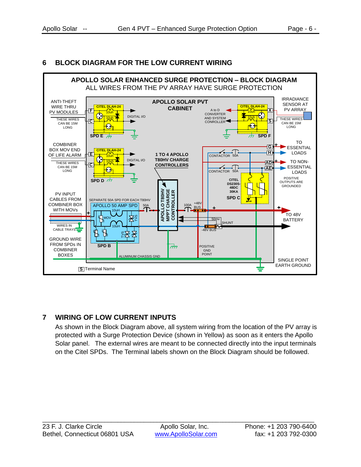#### **6 BLOCK DIAGRAM FOR THE LOW CURRENT WIRING**



#### **7 WIRING OF LOW CURRENT INPUTS**

As shown in the Block Diagram above, all system wiring from the location of the PV array is protected with a Surge Protection Device (shown in Yellow) as soon as it enters the Apollo Solar panel. The external wires are meant to be connected directly into the input terminals on the Citel SPDs. The Terminal labels shown on the Block Diagram should be followed.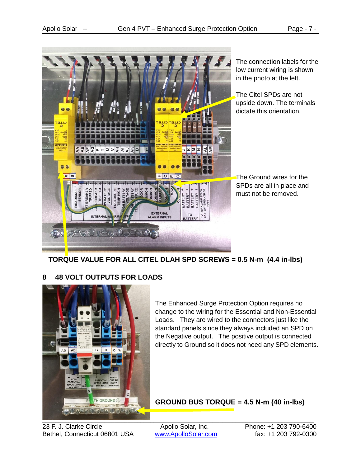

 **TORQUE VALUE FOR ALL CITEL DLAH SPD SCREWS = 0.5 N-m (4.4 in-lbs)**

#### **8 48 VOLT OUTPUTS FOR LOADS**



The Enhanced Surge Protection Option requires no change to the wiring for the Essential and Non-Essential Loads. They are wired to the connectors just like the standard panels since they always included an SPD on the Negative output. The positive output is connected directly to Ground so it does not need any SPD elements.

#### **GROUND BUS TORQUE = 4.5 N-m (40 in-lbs)**

23 F. J. Clarke Circle **Apollo Solar, Inc.** Phone: +1 203 790-6400 Bethel, Connecticut 06801 USA [www.ApolloSolar.com](http://www.apollosolar.com/) fax: +1 203 792-0300